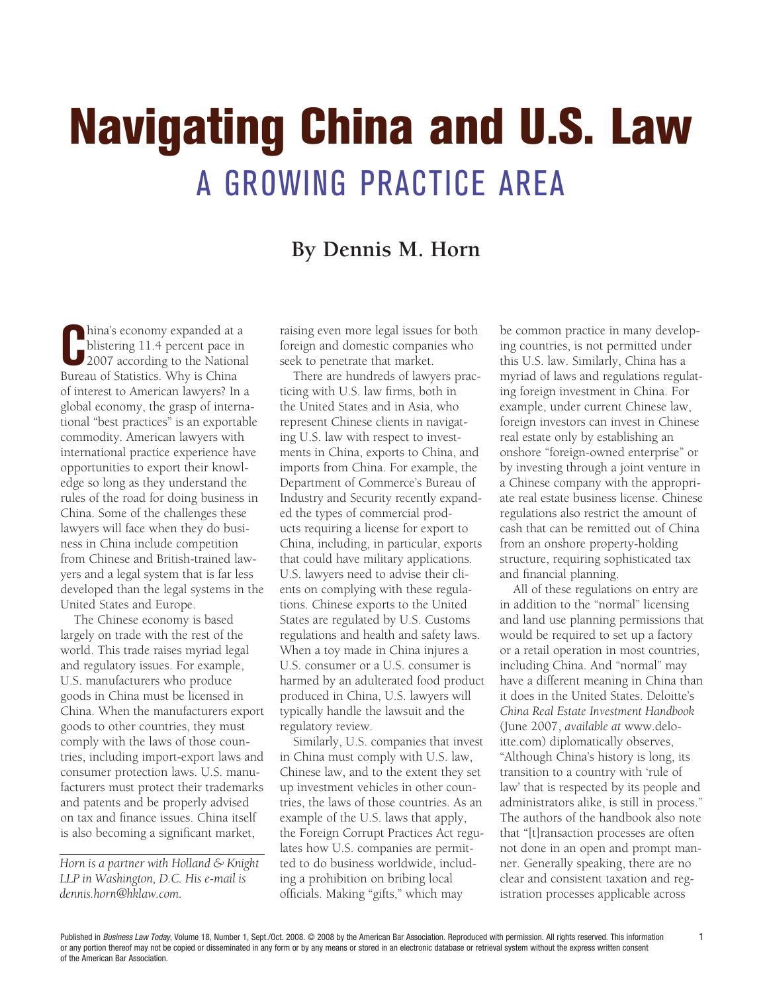## Navigating China and U.S. Law A Growing Practice Area

## **By Dennis M. Horn**

hina's economy expanded at a<br>
blistering 11.4 percent pace in<br>
2007 according to the National<br>
Bureau of Statistics Why is China hina's economy expanded at a blistering 11.4 percent pace in Bureau of Statistics. Why is China of interest to American lawyers? In a global economy, the grasp of international "best practices" is an exportable commodity. American lawyers with international practice experience have opportunities to export their knowledge so long as they understand the rules of the road for doing business in China. Some of the challenges these lawyers will face when they do business in China include competition from Chinese and British-trained lawyers and a legal system that is far less developed than the legal systems in the United States and Europe.

The Chinese economy is based largely on trade with the rest of the world. This trade raises myriad legal and regulatory issues. For example, U.S. manufacturers who produce goods in China must be licensed in China. When the manufacturers export goods to other countries, they must comply with the laws of those countries, including import-export laws and consumer protection laws. U.S. manufacturers must protect their trademarks and patents and be properly advised on tax and finance issues. China itself is also becoming a significant market,

*Horn is a partner with Holland & Knight LLP in Washington, D.C. His e-mail is dennis.horn@hklaw.com.* 

raising even more legal issues for both foreign and domestic companies who seek to penetrate that market.

There are hundreds of lawyers practicing with U.S. law firms, both in the United States and in Asia, who represent Chinese clients in navigating U.S. law with respect to investments in China, exports to China, and imports from China. For example, the Department of Commerce's Bureau of Industry and Security recently expanded the types of commercial products requiring a license for export to China, including, in particular, exports that could have military applications. U.S. lawyers need to advise their clients on complying with these regulations. Chinese exports to the United States are regulated by U.S. Customs regulations and health and safety laws. When a toy made in China injures a U.S. consumer or a U.S. consumer is harmed by an adulterated food product produced in China, U.S. lawyers will typically handle the lawsuit and the regulatory review.

Similarly, U.S. companies that invest in China must comply with U.S. law, Chinese law, and to the extent they set up investment vehicles in other countries, the laws of those countries. As an example of the U.S. laws that apply, the Foreign Corrupt Practices Act regulates how U.S. companies are permitted to do business worldwide, including a prohibition on bribing local officials. Making "gifts," which may

be common practice in many developing countries, is not permitted under this U.S. law. Similarly, China has a myriad of laws and regulations regulating foreign investment in China. For example, under current Chinese law, foreign investors can invest in Chinese real estate only by establishing an onshore "foreign-owned enterprise" or by investing through a joint venture in a Chinese company with the appropriate real estate business license. Chinese regulations also restrict the amount of cash that can be remitted out of China from an onshore property-holding structure, requiring sophisticated tax and financial planning.

All of these regulations on entry are in addition to the "normal" licensing and land use planning permissions that would be required to set up a factory or a retail operation in most countries, including China. And "normal" may have a different meaning in China than it does in the United States. Deloitte's *China Real Estate Investment Handbook* (June 2007, *available at* www.deloitte.com) diplomatically observes, "Although China's history is long, its transition to a country with 'rule of law' that is respected by its people and administrators alike, is still in process." The authors of the handbook also note that "[t]ransaction processes are often not done in an open and prompt manner. Generally speaking, there are no clear and consistent taxation and registration processes applicable across

Published in *Business Law Today*, Volume 18, Number 1, Sept./Oct. 2008. © 2008 by the American Bar Association. Reproduced with permission. All rights reserved. This information or any portion thereof may not be copied or disseminated in any form or by any means or stored in an electronic database or retrieval system without the express written consent of the American Bar Association.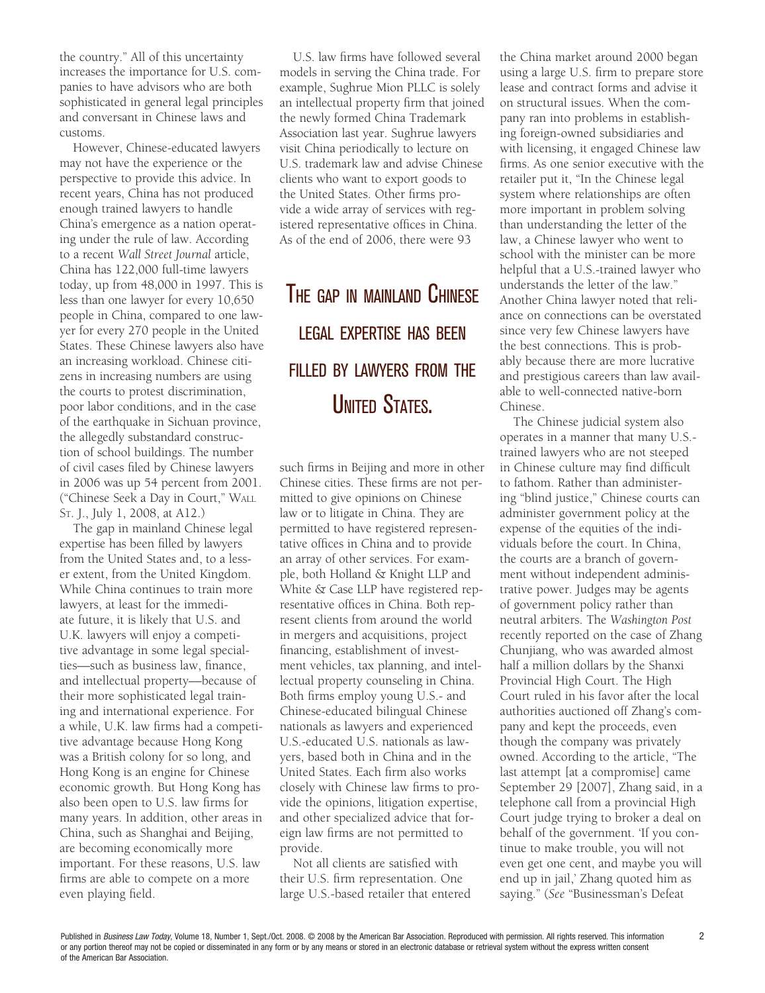the country." All of this uncertainty increases the importance for U.S. companies to have advisors who are both sophisticated in general legal principles and conversant in Chinese laws and customs.

However, Chinese-educated lawyers may not have the experience or the perspective to provide this advice. In recent years, China has not produced enough trained lawyers to handle China's emergence as a nation operating under the rule of law. According to a recent *Wall Street Journal* article, China has 122,000 full-time lawyers today, up from 48,000 in 1997. This is less than one lawyer for every 10,650 people in China, compared to one lawyer for every 270 people in the United States. These Chinese lawyers also have an increasing workload. Chinese citizens in increasing numbers are using the courts to protest discrimination, poor labor conditions, and in the case of the earthquake in Sichuan province, the allegedly substandard construction of school buildings. The number of civil cases filed by Chinese lawyers in 2006 was up 54 percent from 2001. ("Chinese Seek a Day in Court," Wall St. J., July 1, 2008, at A12.)

The gap in mainland Chinese legal expertise has been filled by lawyers from the United States and, to a lesser extent, from the United Kingdom. While China continues to train more lawyers, at least for the immediate future, it is likely that U.S. and U.K. lawyers will enjoy a competitive advantage in some legal specialties––such as business law, finance, and intellectual property––because of their more sophisticated legal training and international experience. For a while, U.K. law firms had a competitive advantage because Hong Kong was a British colony for so long, and Hong Kong is an engine for Chinese economic growth. But Hong Kong has also been open to U.S. law firms for many years. In addition, other areas in China, such as Shanghai and Beijing, are becoming economically more important. For these reasons, U.S. law firms are able to compete on a more even playing field.

U.S. law firms have followed several models in serving the China trade. For example, Sughrue Mion PLLC is solely an intellectual property firm that joined the newly formed China Trademark Association last year. Sughrue lawyers visit China periodically to lecture on U.S. trademark law and advise Chinese clients who want to export goods to the United States. Other firms provide a wide array of services with registered representative offices in China. As of the end of 2006, there were 93

## The gap in mainland Chinese legal expertise has been filled by lawyers from the **UNITED STATES.**

such firms in Beijing and more in other Chinese cities. These firms are not permitted to give opinions on Chinese law or to litigate in China. They are permitted to have registered representative offices in China and to provide an array of other services. For example, both Holland & Knight LLP and White & Case LLP have registered representative offices in China. Both represent clients from around the world in mergers and acquisitions, project financing, establishment of investment vehicles, tax planning, and intellectual property counseling in China. Both firms employ young U.S.- and Chinese-educated bilingual Chinese nationals as lawyers and experienced U.S.-educated U.S. nationals as lawyers, based both in China and in the United States. Each firm also works closely with Chinese law firms to provide the opinions, litigation expertise, and other specialized advice that foreign law firms are not permitted to provide.

Not all clients are satisfied with their U.S. firm representation. One large U.S.-based retailer that entered the China market around 2000 began using a large U.S. firm to prepare store lease and contract forms and advise it on structural issues. When the company ran into problems in establishing foreign-owned subsidiaries and with licensing, it engaged Chinese law firms. As one senior executive with the retailer put it, "In the Chinese legal system where relationships are often more important in problem solving than understanding the letter of the law, a Chinese lawyer who went to school with the minister can be more helpful that a U.S.-trained lawyer who understands the letter of the law." Another China lawyer noted that reliance on connections can be overstated since very few Chinese lawyers have the best connections. This is probably because there are more lucrative and prestigious careers than law available to well-connected native-born Chinese.

The Chinese judicial system also operates in a manner that many U.S. trained lawyers who are not steeped in Chinese culture may find difficult to fathom. Rather than administering "blind justice," Chinese courts can administer government policy at the expense of the equities of the individuals before the court. In China, the courts are a branch of government without independent administrative power. Judges may be agents of government policy rather than neutral arbiters. The *Washington Post* recently reported on the case of Zhang Chunjiang, who was awarded almost half a million dollars by the Shanxi Provincial High Court. The High Court ruled in his favor after the local authorities auctioned off Zhang's company and kept the proceeds, even though the company was privately owned. According to the article, "The last attempt [at a compromise] came September 29 [2007], Zhang said, in a telephone call from a provincial High Court judge trying to broker a deal on behalf of the government. 'If you continue to make trouble, you will not even get one cent, and maybe you will end up in jail,' Zhang quoted him as saying." (*See* "Businessman's Defeat